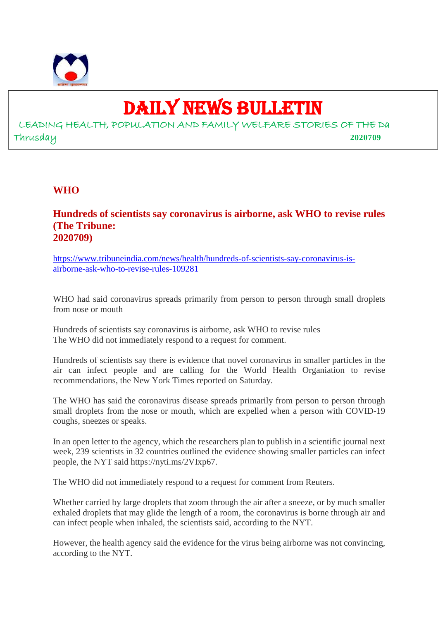

# DAILY NEWS BULLETIN

LEADING HEALTH, POPULATION AND FAMILY WELFARE STORIES OF THE Da Thrusday **2020709**

#### **WHO**

**Hundreds of scientists say coronavirus is airborne, ask WHO to revise rules (The Tribune: 2020709)**

https://www.tribuneindia.com/news/health/hundreds-of-scientists-say-coronavirus-isairborne-ask-who-to-revise-rules-109281

WHO had said coronavirus spreads primarily from person to person through small droplets from nose or mouth

Hundreds of scientists say coronavirus is airborne, ask WHO to revise rules The WHO did not immediately respond to a request for comment.

Hundreds of scientists say there is evidence that novel coronavirus in smaller particles in the air can infect people and are calling for the World Health Organiation to revise recommendations, the New York Times reported on Saturday.

The WHO has said the coronavirus disease spreads primarily from person to person through small droplets from the nose or mouth, which are expelled when a person with COVID-19 coughs, sneezes or speaks.

In an open letter to the agency, which the researchers plan to publish in a scientific journal next week, 239 scientists in 32 countries outlined the evidence showing smaller particles can infect people, the NYT said https://nyti.ms/2VIxp67.

The WHO did not immediately respond to a request for comment from Reuters.

Whether carried by large droplets that zoom through the air after a sneeze, or by much smaller exhaled droplets that may glide the length of a room, the coronavirus is borne through air and can infect people when inhaled, the scientists said, according to the NYT.

However, the health agency said the evidence for the virus being airborne was not convincing, according to the NYT.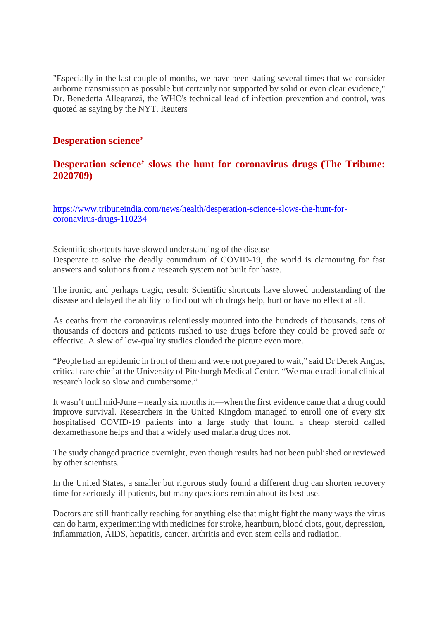"Especially in the last couple of months, we have been stating several times that we consider airborne transmission as possible but certainly not supported by solid or even clear evidence," Dr. Benedetta Allegranzi, the WHO's technical lead of infection prevention and control, was quoted as saying by the NYT. Reuters

### **Desperation science'**

#### **Desperation science' slows the hunt for coronavirus drugs (The Tribune: 2020709)**

https://www.tribuneindia.com/news/health/desperation-science-slows-the-hunt-forcoronavirus-drugs-110234

Scientific shortcuts have slowed understanding of the disease Desperate to solve the deadly conundrum of COVID-19, the world is clamouring for fast answers and solutions from a research system not built for haste.

The ironic, and perhaps tragic, result: Scientific shortcuts have slowed understanding of the disease and delayed the ability to find out which drugs help, hurt or have no effect at all.

As deaths from the coronavirus relentlessly mounted into the hundreds of thousands, tens of thousands of doctors and patients rushed to use drugs before they could be proved safe or effective. A slew of low-quality studies clouded the picture even more.

"People had an epidemic in front of them and were not prepared to wait," said Dr Derek Angus, critical care chief at the University of Pittsburgh Medical Center. "We made traditional clinical research look so slow and cumbersome."

It wasn't until mid-June – nearly six months in—when the first evidence came that a drug could improve survival. Researchers in the United Kingdom managed to enroll one of every six hospitalised COVID-19 patients into a large study that found a cheap steroid called dexamethasone helps and that a widely used malaria drug does not.

The study changed practice overnight, even though results had not been published or reviewed by other scientists.

In the United States, a smaller but rigorous study found a different drug can shorten recovery time for seriously-ill patients, but many questions remain about its best use.

Doctors are still frantically reaching for anything else that might fight the many ways the virus can do harm, experimenting with medicines for stroke, heartburn, blood clots, gout, depression, inflammation, AIDS, hepatitis, cancer, arthritis and even stem cells and radiation.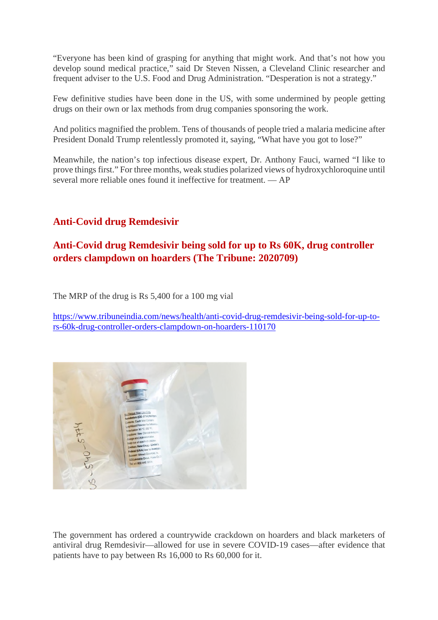"Everyone has been kind of grasping for anything that might work. And that's not how you develop sound medical practice," said Dr Steven Nissen, a Cleveland Clinic researcher and frequent adviser to the U.S. Food and Drug Administration. "Desperation is not a strategy."

Few definitive studies have been done in the US, with some undermined by people getting drugs on their own or lax methods from drug companies sponsoring the work.

And politics magnified the problem. Tens of thousands of people tried a malaria medicine after President Donald Trump relentlessly promoted it, saying, "What have you got to lose?"

Meanwhile, the nation's top infectious disease expert, Dr. Anthony Fauci, warned "I like to prove things first." For three months, weak studies polarized views of hydroxychloroquine until several more reliable ones found it ineffective for treatment. — AP

### **Anti-Covid drug Remdesivir**

#### **Anti-Covid drug Remdesivir being sold for up to Rs 60K, drug controller orders clampdown on hoarders (The Tribune: 2020709)**

The MRP of the drug is Rs 5,400 for a 100 mg vial

https://www.tribuneindia.com/news/health/anti-covid-drug-remdesivir-being-sold-for-up-tors-60k-drug-controller-orders-clampdown-on-hoarders-110170



The government has ordered a countrywide crackdown on hoarders and black marketers of antiviral drug Remdesivir—allowed for use in severe COVID-19 cases—after evidence that patients have to pay between Rs 16,000 to Rs 60,000 for it.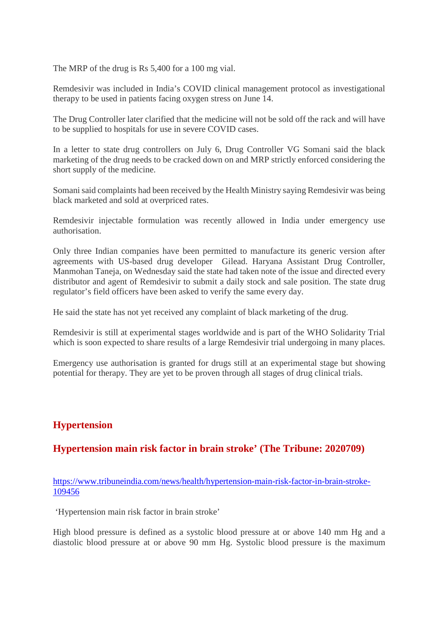The MRP of the drug is Rs 5,400 for a 100 mg vial.

Remdesivir was included in India's COVID clinical management protocol as investigational therapy to be used in patients facing oxygen stress on June 14.

The Drug Controller later clarified that the medicine will not be sold off the rack and will have to be supplied to hospitals for use in severe COVID cases.

In a letter to state drug controllers on July 6, Drug Controller VG Somani said the black marketing of the drug needs to be cracked down on and MRP strictly enforced considering the short supply of the medicine.

Somani said complaints had been received by the Health Ministry saying Remdesivir was being black marketed and sold at overpriced rates.

Remdesivir injectable formulation was recently allowed in India under emergency use authorisation.

Only three Indian companies have been permitted to manufacture its generic version after agreements with US-based drug developer Gilead. Haryana Assistant Drug Controller, Manmohan Taneja, on Wednesday said the state had taken note of the issue and directed every distributor and agent of Remdesivir to submit a daily stock and sale position. The state drug regulator's field officers have been asked to verify the same every day.

He said the state has not yet received any complaint of black marketing of the drug.

Remdesivir is still at experimental stages worldwide and is part of the WHO Solidarity Trial which is soon expected to share results of a large Remdesivir trial undergoing in many places.

Emergency use authorisation is granted for drugs still at an experimental stage but showing potential for therapy. They are yet to be proven through all stages of drug clinical trials.

#### **Hypertension**

#### **Hypertension main risk factor in brain stroke' (The Tribune: 2020709)**

#### https://www.tribuneindia.com/news/health/hypertension-main-risk-factor-in-brain-stroke-109456

'Hypertension main risk factor in brain stroke'

High blood pressure is defined as a systolic blood pressure at or above 140 mm Hg and a diastolic blood pressure at or above 90 mm Hg. Systolic blood pressure is the maximum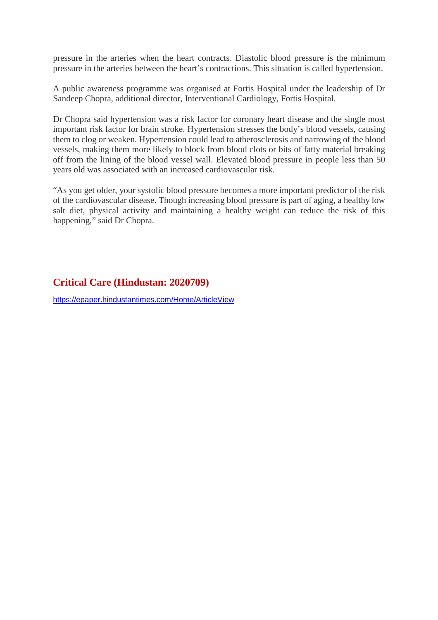pressure in the arteries when the heart contracts. Diastolic blood pressure is the minimum pressure in the arteries between the heart's contractions. This situation is called hypertension.

A public awareness programme was organised at Fortis Hospital under the leadership of Dr Sandeep Chopra, additional director, Interventional Cardiology, Fortis Hospital.

Dr Chopra said hypertension was a risk factor for coronary heart disease and the single most important risk factor for brain stroke. Hypertension stresses the body's blood vessels, causing them to clog or weaken. Hypertension could lead to atherosclerosis and narrowing of the blood vessels, making them more likely to block from blood clots or bits of fatty material breaking off from the lining of the blood vessel wall. Elevated blood pressure in people less than 50 years old was associated with an increased cardiovascular risk.

"As you get older, your systolic blood pressure becomes a more important predictor of the risk of the cardiovascular disease. Though increasing blood pressure is part of aging, a healthy low salt diet, physical activity and maintaining a healthy weight can reduce the risk of this happening," said Dr Chopra.

#### **Critical Care (Hindustan: 2020709)**

https://epaper.hindustantimes.com/Home/ArticleView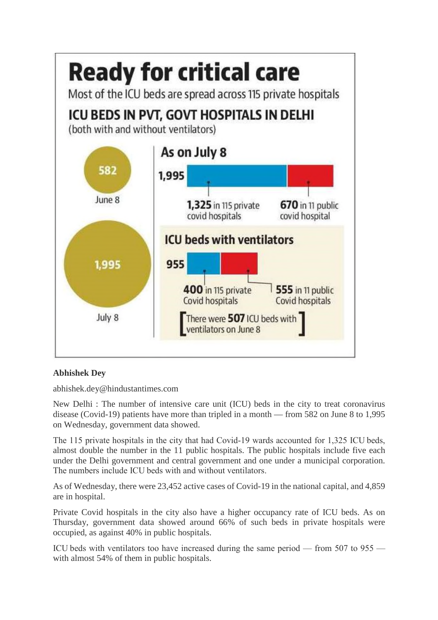

#### **Abhishek Dey**

abhishek.dey@hindustantimes.com

New Delhi : The number of intensive care unit (ICU) beds in the city to treat coronavirus disease (Covid-19) patients have more than tripled in a month — from 582 on June 8 to 1,995 on Wednesday, government data showed.

The 115 private hospitals in the city that had Covid-19 wards accounted for 1,325 ICU beds, almost double the number in the 11 public hospitals. The public hospitals include five each under the Delhi government and central government and one under a municipal corporation. The numbers include ICU beds with and without ventilators.

As of Wednesday, there were 23,452 active cases of Covid-19 in the national capital, and 4,859 are in hospital.

Private Covid hospitals in the city also have a higher occupancy rate of ICU beds. As on Thursday, government data showed around 66% of such beds in private hospitals were occupied, as against 40% in public hospitals.

ICU beds with ventilators too have increased during the same period — from 507 to 955 with almost 54% of them in public hospitals.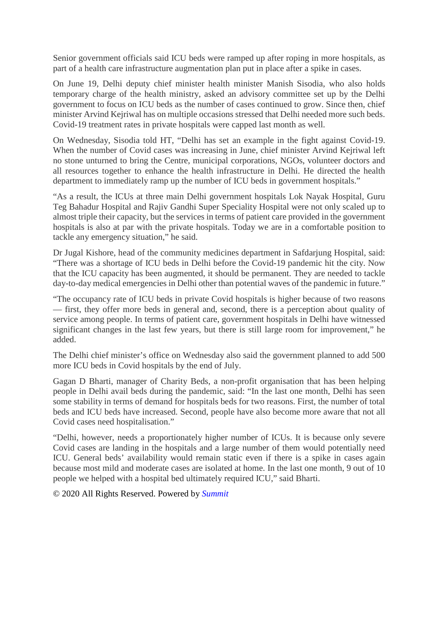Senior government officials said ICU beds were ramped up after roping in more hospitals, as part of a health care infrastructure augmentation plan put in place after a spike in cases.

On June 19, Delhi deputy chief minister health minister Manish Sisodia, who also holds temporary charge of the health ministry, asked an advisory committee set up by the Delhi government to focus on ICU beds as the number of cases continued to grow. Since then, chief minister Arvind Kejriwal has on multiple occasions stressed that Delhi needed more such beds. Covid-19 treatment rates in private hospitals were capped last month as well.

On Wednesday, Sisodia told HT, "Delhi has set an example in the fight against Covid-19. When the number of Covid cases was increasing in June, chief minister Arvind Kejriwal left no stone unturned to bring the Centre, municipal corporations, NGOs, volunteer doctors and all resources together to enhance the health infrastructure in Delhi. He directed the health department to immediately ramp up the number of ICU beds in government hospitals."

"As a result, the ICUs at three main Delhi government hospitals Lok Nayak Hospital, Guru Teg Bahadur Hospital and Rajiv Gandhi Super Speciality Hospital were not only scaled up to almost triple their capacity, but the services in terms of patient care provided in the government hospitals is also at par with the private hospitals. Today we are in a comfortable position to tackle any emergency situation," he said.

Dr Jugal Kishore, head of the community medicines department in Safdarjung Hospital, said: "There was a shortage of ICU beds in Delhi before the Covid-19 pandemic hit the city. Now that the ICU capacity has been augmented, it should be permanent. They are needed to tackle day-to-day medical emergencies in Delhi other than potential waves of the pandemic in future."

"The occupancy rate of ICU beds in private Covid hospitals is higher because of two reasons — first, they offer more beds in general and, second, there is a perception about quality of service among people. In terms of patient care, government hospitals in Delhi have witnessed significant changes in the last few years, but there is still large room for improvement," he added.

The Delhi chief minister's office on Wednesday also said the government planned to add 500 more ICU beds in Covid hospitals by the end of July.

Gagan D Bharti, manager of Charity Beds, a non-profit organisation that has been helping people in Delhi avail beds during the pandemic, said: "In the last one month, Delhi has seen some stability in terms of demand for hospitals beds for two reasons. First, the number of total beds and ICU beds have increased. Second, people have also become more aware that not all Covid cases need hospitalisation."

"Delhi, however, needs a proportionately higher number of ICUs. It is because only severe Covid cases are landing in the hospitals and a large number of them would potentially need ICU. General beds' availability would remain static even if there is a spike in cases again because most mild and moderate cases are isolated at home. In the last one month, 9 out of 10 people we helped with a hospital bed ultimately required ICU," said Bharti.

© 2020 All Rights Reserved. Powered by *Summit*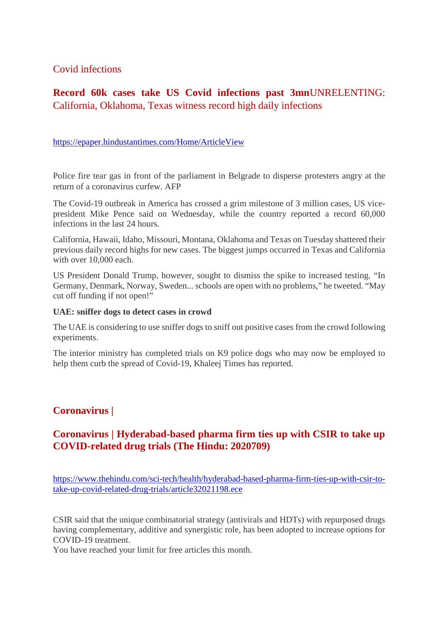#### Covid infections

### **Record 60k cases take US Covid infections past 3mn**UNRELENTING: California, Oklahoma, Texas witness record high daily infections

https://epaper.hindustantimes.com/Home/ArticleView

Police fire tear gas in front of the parliament in Belgrade to disperse protesters angry at the return of a coronavirus curfew. AFP

The Covid-19 outbreak in America has crossed a grim milestone of 3 million cases, US vicepresident Mike Pence said on Wednesday, while the country reported a record 60,000 infections in the last 24 hours.

California, Hawaii, Idaho, Missouri, Montana, Oklahoma and Texas on Tuesday shattered their previous daily record highs for new cases. The biggest jumps occurred in Texas and California with over  $10,000$  each.

US President Donald Trump, however, sought to dismiss the spike to increased testing. "In Germany, Denmark, Norway, Sweden... schools are open with no problems," he tweeted. "May cut off funding if not open!"

#### **UAE: sniffer dogs to detect cases in crowd**

The UAE is considering to use sniffer dogs to sniff out positive cases from the crowd following experiments.

The interior ministry has completed trials on K9 police dogs who may now be employed to help them curb the spread of Covid-19, Khaleej Times has reported.

#### **Coronavirus |**

#### **Coronavirus | Hyderabad-based pharma firm ties up with CSIR to take up COVID-related drug trials (The Hindu: 2020709)**

https://www.thehindu.com/sci-tech/health/hyderabad-based-pharma-firm-ties-up-with-csir-totake-up-covid-related-drug-trials/article32021198.ece

CSIR said that the unique combinatorial strategy (antivirals and HDTs) with repurposed drugs having complementary, additive and synergistic role, has been adopted to increase options for COVID-19 treatment.

You have reached your limit for free articles this month.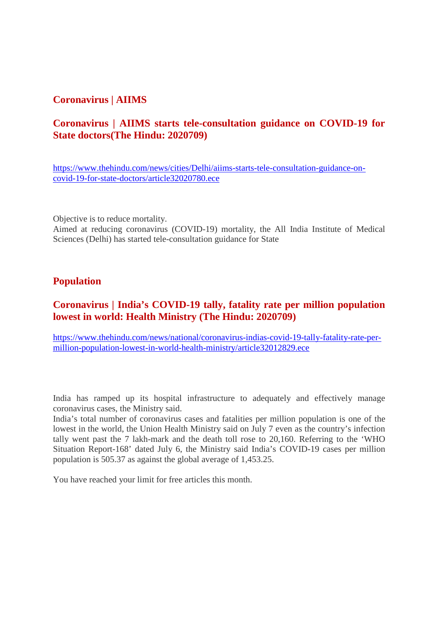#### **Coronavirus | AIIMS**

#### **Coronavirus | AIIMS starts tele-consultation guidance on COVID-19 for State doctors(The Hindu: 2020709)**

https://www.thehindu.com/news/cities/Delhi/aiims-starts-tele-consultation-guidance-oncovid-19-for-state-doctors/article32020780.ece

Objective is to reduce mortality.

Aimed at reducing coronavirus (COVID-19) mortality, the All India Institute of Medical Sciences (Delhi) has started tele-consultation guidance for State

#### **Population**

#### **Coronavirus | India's COVID-19 tally, fatality rate per million population lowest in world: Health Ministry (The Hindu: 2020709)**

https://www.thehindu.com/news/national/coronavirus-indias-covid-19-tally-fatality-rate-permillion-population-lowest-in-world-health-ministry/article32012829.ece

India has ramped up its hospital infrastructure to adequately and effectively manage coronavirus cases, the Ministry said.

India's total number of coronavirus cases and fatalities per million population is one of the lowest in the world, the Union Health Ministry said on July 7 even as the country's infection tally went past the 7 lakh-mark and the death toll rose to 20,160. Referring to the 'WHO Situation Report-168' dated July 6, the Ministry said India's COVID-19 cases per million population is 505.37 as against the global average of 1,453.25.

You have reached your limit for free articles this month.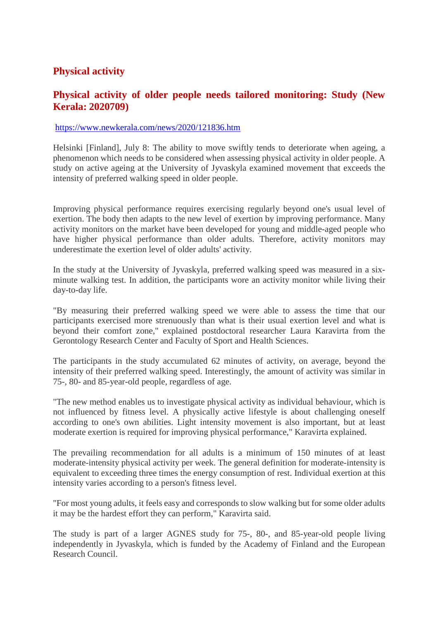### **Physical activity**

#### **Physical activity of older people needs tailored monitoring: Study (New Kerala: 2020709)**

#### https://www.newkerala.com/news/2020/121836.htm

Helsinki [Finland], July 8: The ability to move swiftly tends to deteriorate when ageing, a phenomenon which needs to be considered when assessing physical activity in older people. A study on active ageing at the University of Jyvaskyla examined movement that exceeds the intensity of preferred walking speed in older people.

Improving physical performance requires exercising regularly beyond one's usual level of exertion. The body then adapts to the new level of exertion by improving performance. Many activity monitors on the market have been developed for young and middle-aged people who have higher physical performance than older adults. Therefore, activity monitors may underestimate the exertion level of older adults' activity.

In the study at the University of Jyvaskyla, preferred walking speed was measured in a sixminute walking test. In addition, the participants wore an activity monitor while living their day-to-day life.

"By measuring their preferred walking speed we were able to assess the time that our participants exercised more strenuously than what is their usual exertion level and what is beyond their comfort zone," explained postdoctoral researcher Laura Karavirta from the Gerontology Research Center and Faculty of Sport and Health Sciences.

The participants in the study accumulated 62 minutes of activity, on average, beyond the intensity of their preferred walking speed. Interestingly, the amount of activity was similar in 75-, 80- and 85-year-old people, regardless of age.

"The new method enables us to investigate physical activity as individual behaviour, which is not influenced by fitness level. A physically active lifestyle is about challenging oneself according to one's own abilities. Light intensity movement is also important, but at least moderate exertion is required for improving physical performance," Karavirta explained.

The prevailing recommendation for all adults is a minimum of 150 minutes of at least moderate-intensity physical activity per week. The general definition for moderate-intensity is equivalent to exceeding three times the energy consumption of rest. Individual exertion at this intensity varies according to a person's fitness level.

"For most young adults, it feels easy and corresponds to slow walking but for some older adults it may be the hardest effort they can perform," Karavirta said.

The study is part of a larger AGNES study for 75-, 80-, and 85-year-old people living independently in Jyvaskyla, which is funded by the Academy of Finland and the European Research Council.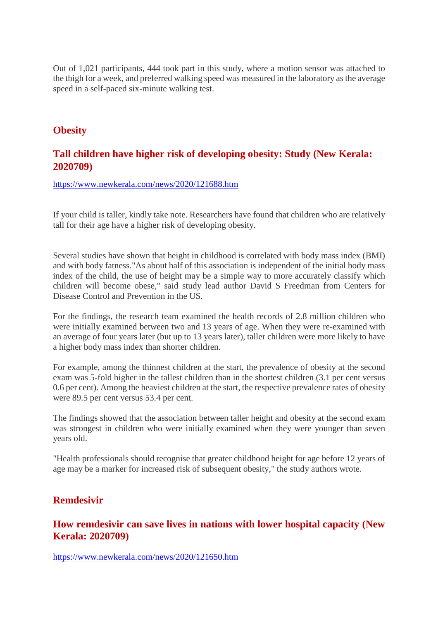Out of 1,021 participants, 444 took part in this study, where a motion sensor was attached to the thigh for a week, and preferred walking speed was measured in the laboratory as the average speed in a self-paced six-minute walking test.

#### **Obesity**

#### **Tall children have higher risk of developing obesity: Study (New Kerala: 2020709)**

https://www.newkerala.com/news/2020/121688.htm

If your child is taller, kindly take note. Researchers have found that children who are relatively tall for their age have a higher risk of developing obesity.

Several studies have shown that height in childhood is correlated with body mass index (BMI) and with body fatness."As about half of this association is independent of the initial body mass index of the child, the use of height may be a simple way to more accurately classify which children will become obese," said study lead author David S Freedman from Centers for Disease Control and Prevention in the US.

For the findings, the research team examined the health records of 2.8 million children who were initially examined between two and 13 years of age. When they were re-examined with an average of four years later (but up to 13 years later), taller children were more likely to have a higher body mass index than shorter children.

For example, among the thinnest children at the start, the prevalence of obesity at the second exam was 5-fold higher in the tallest children than in the shortest children (3.1 per cent versus 0.6 per cent). Among the heaviest children at the start, the respective prevalence rates of obesity were 89.5 per cent versus 53.4 per cent.

The findings showed that the association between taller height and obesity at the second exam was strongest in children who were initially examined when they were younger than seven years old.

"Health professionals should recognise that greater childhood height for age before 12 years of age may be a marker for increased risk of subsequent obesity," the study authors wrote.

#### **Remdesivir**

#### **How remdesivir can save lives in nations with lower hospital capacity (New Kerala: 2020709)**

https://www.newkerala.com/news/2020/121650.htm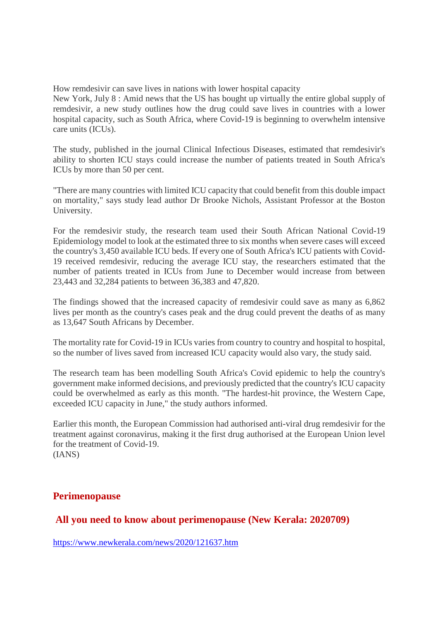How remdesivir can save lives in nations with lower hospital capacity New York, July 8 : Amid news that the US has bought up virtually the entire global supply of remdesivir, a new study outlines how the drug could save lives in countries with a lower hospital capacity, such as South Africa, where Covid-19 is beginning to overwhelm intensive care units (ICUs).

The study, published in the journal Clinical Infectious Diseases, estimated that remdesivir's ability to shorten ICU stays could increase the number of patients treated in South Africa's ICUs by more than 50 per cent.

"There are many countries with limited ICU capacity that could benefit from this double impact on mortality," says study lead author Dr Brooke Nichols, Assistant Professor at the Boston University.

For the remdesivir study, the research team used their South African National Covid-19 Epidemiology model to look at the estimated three to six months when severe cases will exceed the country's 3,450 available ICU beds. If every one of South Africa's ICU patients with Covid-19 received remdesivir, reducing the average ICU stay, the researchers estimated that the number of patients treated in ICUs from June to December would increase from between 23,443 and 32,284 patients to between 36,383 and 47,820.

The findings showed that the increased capacity of remdesivir could save as many as 6,862 lives per month as the country's cases peak and the drug could prevent the deaths of as many as 13,647 South Africans by December.

The mortality rate for Covid-19 in ICUs varies from country to country and hospital to hospital, so the number of lives saved from increased ICU capacity would also vary, the study said.

The research team has been modelling South Africa's Covid epidemic to help the country's government make informed decisions, and previously predicted that the country's ICU capacity could be overwhelmed as early as this month. "The hardest-hit province, the Western Cape, exceeded ICU capacity in June," the study authors informed.

Earlier this month, the European Commission had authorised anti-viral drug remdesivir for the treatment against coronavirus, making it the first drug authorised at the European Union level for the treatment of Covid-19. (IANS)

#### **Perimenopause**

#### **All you need to know about perimenopause (New Kerala: 2020709)**

https://www.newkerala.com/news/2020/121637.htm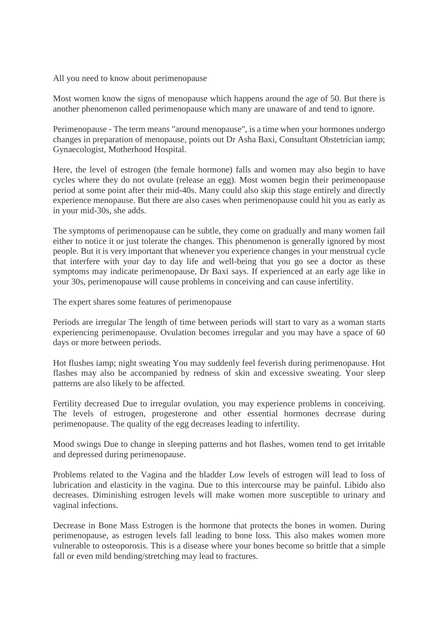All you need to know about perimenopause

Most women know the signs of menopause which happens around the age of 50. But there is another phenomenon called perimenopause which many are unaware of and tend to ignore.

Perimenopause - The term means "around menopause", is a time when your hormones undergo changes in preparation of menopause, points out Dr Asha Baxi, Consultant Obstetrician iamp; Gynaecologist, Motherhood Hospital.

Here, the level of estrogen (the female hormone) falls and women may also begin to have cycles where they do not ovulate (release an egg). Most women begin their perimenopause period at some point after their mid-40s. Many could also skip this stage entirely and directly experience menopause. But there are also cases when perimenopause could hit you as early as in your mid-30s, she adds.

The symptoms of perimenopause can be subtle, they come on gradually and many women fail either to notice it or just tolerate the changes. This phenomenon is generally ignored by most people. But it is very important that whenever you experience changes in your menstrual cycle that interfere with your day to day life and well-being that you go see a doctor as these symptoms may indicate perimenopause, Dr Baxi says. If experienced at an early age like in your 30s, perimenopause will cause problems in conceiving and can cause infertility.

The expert shares some features of perimenopause

Periods are irregular The length of time between periods will start to vary as a woman starts experiencing perimenopause. Ovulation becomes irregular and you may have a space of 60 days or more between periods.

Hot flushes iamp; night sweating You may suddenly feel feverish during perimenopause. Hot flashes may also be accompanied by redness of skin and excessive sweating. Your sleep patterns are also likely to be affected.

Fertility decreased Due to irregular ovulation, you may experience problems in conceiving. The levels of estrogen, progesterone and other essential hormones decrease during perimenopause. The quality of the egg decreases leading to infertility.

Mood swings Due to change in sleeping patterns and hot flashes, women tend to get irritable and depressed during perimenopause.

Problems related to the Vagina and the bladder Low levels of estrogen will lead to loss of lubrication and elasticity in the vagina. Due to this intercourse may be painful. Libido also decreases. Diminishing estrogen levels will make women more susceptible to urinary and vaginal infections.

Decrease in Bone Mass Estrogen is the hormone that protects the bones in women. During perimenopause, as estrogen levels fall leading to bone loss. This also makes women more vulnerable to osteoporosis. This is a disease where your bones become so brittle that a simple fall or even mild bending/stretching may lead to fractures.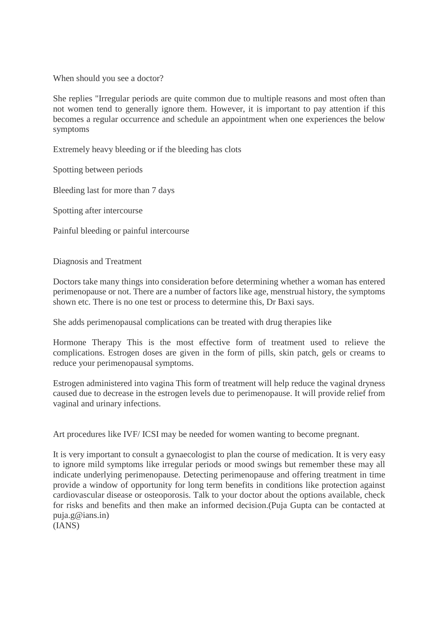When should you see a doctor?

She replies "Irregular periods are quite common due to multiple reasons and most often than not women tend to generally ignore them. However, it is important to pay attention if this becomes a regular occurrence and schedule an appointment when one experiences the below symptoms

Extremely heavy bleeding or if the bleeding has clots

Spotting between periods

Bleeding last for more than 7 days

Spotting after intercourse

Painful bleeding or painful intercourse

Diagnosis and Treatment

Doctors take many things into consideration before determining whether a woman has entered perimenopause or not. There are a number of factors like age, menstrual history, the symptoms shown etc. There is no one test or process to determine this, Dr Baxi says.

She adds perimenopausal complications can be treated with drug therapies like

Hormone Therapy This is the most effective form of treatment used to relieve the complications. Estrogen doses are given in the form of pills, skin patch, gels or creams to reduce your perimenopausal symptoms.

Estrogen administered into vagina This form of treatment will help reduce the vaginal dryness caused due to decrease in the estrogen levels due to perimenopause. It will provide relief from vaginal and urinary infections.

Art procedures like IVF/ ICSI may be needed for women wanting to become pregnant.

It is very important to consult a gynaecologist to plan the course of medication. It is very easy to ignore mild symptoms like irregular periods or mood swings but remember these may all indicate underlying perimenopause. Detecting perimenopause and offering treatment in time provide a window of opportunity for long term benefits in conditions like protection against cardiovascular disease or osteoporosis. Talk to your doctor about the options available, check for risks and benefits and then make an informed decision.(Puja Gupta can be contacted at puja.g@ians.in)

(IANS)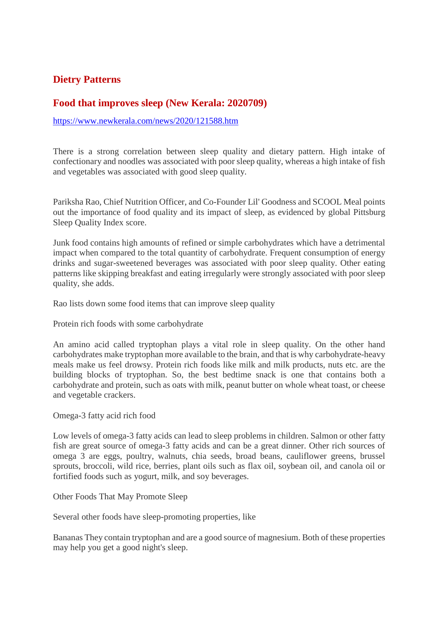### **Dietry Patterns**

#### **Food that improves sleep (New Kerala: 2020709)**

https://www.newkerala.com/news/2020/121588.htm

There is a strong correlation between sleep quality and dietary pattern. High intake of confectionary and noodles was associated with poor sleep quality, whereas a high intake of fish and vegetables was associated with good sleep quality.

Pariksha Rao, Chief Nutrition Officer, and Co-Founder Lil' Goodness and SCOOL Meal points out the importance of food quality and its impact of sleep, as evidenced by global Pittsburg Sleep Quality Index score.

Junk food contains high amounts of refined or simple carbohydrates which have a detrimental impact when compared to the total quantity of carbohydrate. Frequent consumption of energy drinks and sugar-sweetened beverages was associated with poor sleep quality. Other eating patterns like skipping breakfast and eating irregularly were strongly associated with poor sleep quality, she adds.

Rao lists down some food items that can improve sleep quality

Protein rich foods with some carbohydrate

An amino acid called tryptophan plays a vital role in sleep quality. On the other hand carbohydrates make tryptophan more available to the brain, and that is why carbohydrate-heavy meals make us feel drowsy. Protein rich foods like milk and milk products, nuts etc. are the building blocks of tryptophan. So, the best bedtime snack is one that contains both a carbohydrate and protein, such as oats with milk, peanut butter on whole wheat toast, or cheese and vegetable crackers.

Omega-3 fatty acid rich food

Low levels of omega-3 fatty acids can lead to sleep problems in children. Salmon or other fatty fish are great source of omega-3 fatty acids and can be a great dinner. Other rich sources of omega 3 are eggs, poultry, walnuts, chia seeds, broad beans, cauliflower greens, brussel sprouts, broccoli, wild rice, berries, plant oils such as flax oil, soybean oil, and canola oil or fortified foods such as yogurt, milk, and soy beverages.

Other Foods That May Promote Sleep

Several other foods have sleep-promoting properties, like

Bananas They contain tryptophan and are a good source of magnesium. Both of these properties may help you get a good night's sleep.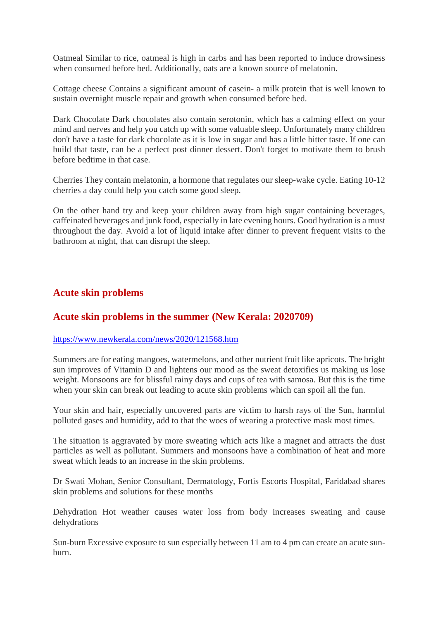Oatmeal Similar to rice, oatmeal is high in carbs and has been reported to induce drowsiness when consumed before bed. Additionally, oats are a known source of melatonin.

Cottage cheese Contains a significant amount of casein- a milk protein that is well known to sustain overnight muscle repair and growth when consumed before bed.

Dark Chocolate Dark chocolates also contain serotonin, which has a calming effect on your mind and nerves and help you catch up with some valuable sleep. Unfortunately many children don't have a taste for dark chocolate as it is low in sugar and has a little bitter taste. If one can build that taste, can be a perfect post dinner dessert. Don't forget to motivate them to brush before bedtime in that case.

Cherries They contain melatonin, a hormone that regulates our sleep-wake cycle. Eating 10-12 cherries a day could help you catch some good sleep.

On the other hand try and keep your children away from high sugar containing beverages, caffeinated beverages and junk food, especially in late evening hours. Good hydration is a must throughout the day. Avoid a lot of liquid intake after dinner to prevent frequent visits to the bathroom at night, that can disrupt the sleep.

#### **Acute skin problems**

#### **Acute skin problems in the summer (New Kerala: 2020709)**

#### https://www.newkerala.com/news/2020/121568.htm

Summers are for eating mangoes, watermelons, and other nutrient fruit like apricots. The bright sun improves of Vitamin D and lightens our mood as the sweat detoxifies us making us lose weight. Monsoons are for blissful rainy days and cups of tea with samosa. But this is the time when your skin can break out leading to acute skin problems which can spoil all the fun.

Your skin and hair, especially uncovered parts are victim to harsh rays of the Sun, harmful polluted gases and humidity, add to that the woes of wearing a protective mask most times.

The situation is aggravated by more sweating which acts like a magnet and attracts the dust particles as well as pollutant. Summers and monsoons have a combination of heat and more sweat which leads to an increase in the skin problems.

Dr Swati Mohan, Senior Consultant, Dermatology, Fortis Escorts Hospital, Faridabad shares skin problems and solutions for these months

Dehydration Hot weather causes water loss from body increases sweating and cause dehydrations

Sun-burn Excessive exposure to sun especially between 11 am to 4 pm can create an acute sunburn.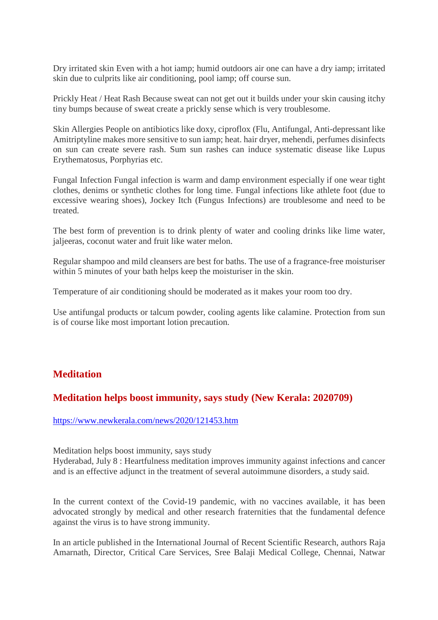Dry irritated skin Even with a hot iamp; humid outdoors air one can have a dry iamp; irritated skin due to culprits like air conditioning, pool iamp; off course sun.

Prickly Heat / Heat Rash Because sweat can not get out it builds under your skin causing itchy tiny bumps because of sweat create a prickly sense which is very troublesome.

Skin Allergies People on antibiotics like doxy, ciproflox (Flu, Antifungal, Anti-depressant like Amitriptyline makes more sensitive to sun iamp; heat. hair dryer, mehendi, perfumes disinfects on sun can create severe rash. Sum sun rashes can induce systematic disease like Lupus Erythematosus, Porphyrias etc.

Fungal Infection Fungal infection is warm and damp environment especially if one wear tight clothes, denims or synthetic clothes for long time. Fungal infections like athlete foot (due to excessive wearing shoes), Jockey Itch (Fungus Infections) are troublesome and need to be treated.

The best form of prevention is to drink plenty of water and cooling drinks like lime water, jaljeeras, coconut water and fruit like water melon.

Regular shampoo and mild cleansers are best for baths. The use of a fragrance-free moisturiser within 5 minutes of your bath helps keep the moisturiser in the skin.

Temperature of air conditioning should be moderated as it makes your room too dry.

Use antifungal products or talcum powder, cooling agents like calamine. Protection from sun is of course like most important lotion precaution.

#### **Meditation**

#### **Meditation helps boost immunity, says study (New Kerala: 2020709)**

https://www.newkerala.com/news/2020/121453.htm

Meditation helps boost immunity, says study

Hyderabad, July 8 : Heartfulness meditation improves immunity against infections and cancer and is an effective adjunct in the treatment of several autoimmune disorders, a study said.

In the current context of the Covid-19 pandemic, with no vaccines available, it has been advocated strongly by medical and other research fraternities that the fundamental defence against the virus is to have strong immunity.

In an article published in the International Journal of Recent Scientific Research, authors Raja Amarnath, Director, Critical Care Services, Sree Balaji Medical College, Chennai, Natwar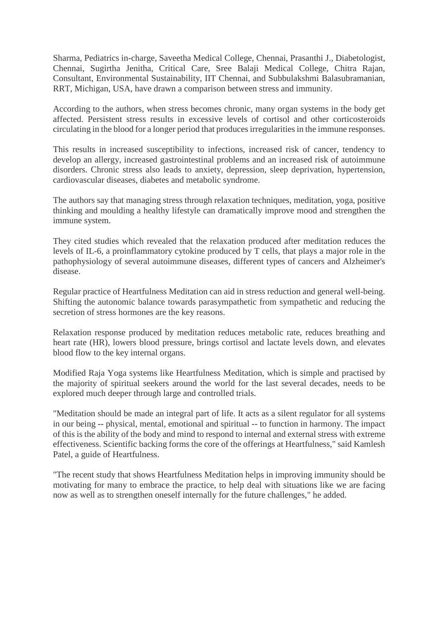Sharma, Pediatrics in-charge, Saveetha Medical College, Chennai, Prasanthi J., Diabetologist, Chennai, Sugirtha Jenitha, Critical Care, Sree Balaji Medical College, Chitra Rajan, Consultant, Environmental Sustainability, IIT Chennai, and Subbulakshmi Balasubramanian, RRT, Michigan, USA, have drawn a comparison between stress and immunity.

According to the authors, when stress becomes chronic, many organ systems in the body get affected. Persistent stress results in excessive levels of cortisol and other corticosteroids circulating in the blood for a longer period that produces irregularities in the immune responses.

This results in increased susceptibility to infections, increased risk of cancer, tendency to develop an allergy, increased gastrointestinal problems and an increased risk of autoimmune disorders. Chronic stress also leads to anxiety, depression, sleep deprivation, hypertension, cardiovascular diseases, diabetes and metabolic syndrome.

The authors say that managing stress through relaxation techniques, meditation, yoga, positive thinking and moulding a healthy lifestyle can dramatically improve mood and strengthen the immune system.

They cited studies which revealed that the relaxation produced after meditation reduces the levels of IL-6, a proinflammatory cytokine produced by T cells, that plays a major role in the pathophysiology of several autoimmune diseases, different types of cancers and Alzheimer's disease.

Regular practice of Heartfulness Meditation can aid in stress reduction and general well-being. Shifting the autonomic balance towards parasympathetic from sympathetic and reducing the secretion of stress hormones are the key reasons.

Relaxation response produced by meditation reduces metabolic rate, reduces breathing and heart rate (HR), lowers blood pressure, brings cortisol and lactate levels down, and elevates blood flow to the key internal organs.

Modified Raja Yoga systems like Heartfulness Meditation, which is simple and practised by the majority of spiritual seekers around the world for the last several decades, needs to be explored much deeper through large and controlled trials.

"Meditation should be made an integral part of life. It acts as a silent regulator for all systems in our being -- physical, mental, emotional and spiritual -- to function in harmony. The impact of this is the ability of the body and mind to respond to internal and external stress with extreme effectiveness. Scientific backing forms the core of the offerings at Heartfulness," said Kamlesh Patel, a guide of Heartfulness.

"The recent study that shows Heartfulness Meditation helps in improving immunity should be motivating for many to embrace the practice, to help deal with situations like we are facing now as well as to strengthen oneself internally for the future challenges," he added.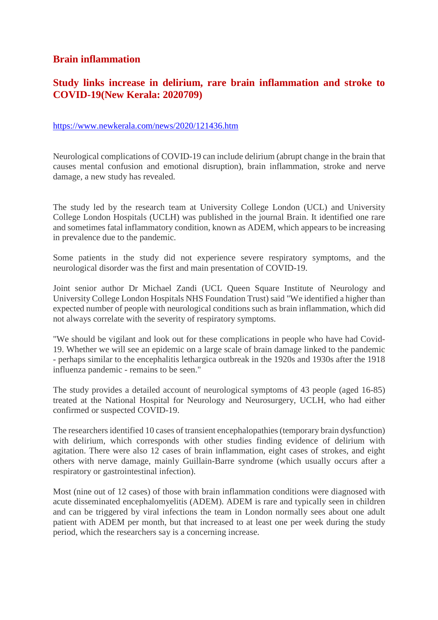#### **Brain inflammation**

#### **Study links increase in delirium, rare brain inflammation and stroke to COVID-19(New Kerala: 2020709)**

#### https://www.newkerala.com/news/2020/121436.htm

Neurological complications of COVID-19 can include delirium (abrupt change in the brain that causes mental confusion and emotional disruption), brain inflammation, stroke and nerve damage, a new study has revealed.

The study led by the research team at University College London (UCL) and University College London Hospitals (UCLH) was published in the journal Brain. It identified one rare and sometimes fatal inflammatory condition, known as ADEM, which appears to be increasing in prevalence due to the pandemic.

Some patients in the study did not experience severe respiratory symptoms, and the neurological disorder was the first and main presentation of COVID-19.

Joint senior author Dr Michael Zandi (UCL Queen Square Institute of Neurology and University College London Hospitals NHS Foundation Trust) said "We identified a higher than expected number of people with neurological conditions such as brain inflammation, which did not always correlate with the severity of respiratory symptoms.

"We should be vigilant and look out for these complications in people who have had Covid-19. Whether we will see an epidemic on a large scale of brain damage linked to the pandemic - perhaps similar to the encephalitis lethargica outbreak in the 1920s and 1930s after the 1918 influenza pandemic - remains to be seen."

The study provides a detailed account of neurological symptoms of 43 people (aged 16-85) treated at the National Hospital for Neurology and Neurosurgery, UCLH, who had either confirmed or suspected COVID-19.

The researchers identified 10 cases of transient encephalopathies (temporary brain dysfunction) with delirium, which corresponds with other studies finding evidence of delirium with agitation. There were also 12 cases of brain inflammation, eight cases of strokes, and eight others with nerve damage, mainly Guillain-Barre syndrome (which usually occurs after a respiratory or gastrointestinal infection).

Most (nine out of 12 cases) of those with brain inflammation conditions were diagnosed with acute disseminated encephalomyelitis (ADEM). ADEM is rare and typically seen in children and can be triggered by viral infections the team in London normally sees about one adult patient with ADEM per month, but that increased to at least one per week during the study period, which the researchers say is a concerning increase.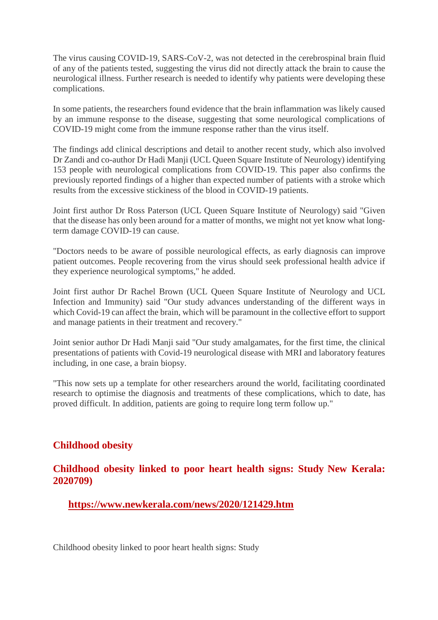The virus causing COVID-19, SARS-CoV-2, was not detected in the cerebrospinal brain fluid of any of the patients tested, suggesting the virus did not directly attack the brain to cause the neurological illness. Further research is needed to identify why patients were developing these complications.

In some patients, the researchers found evidence that the brain inflammation was likely caused by an immune response to the disease, suggesting that some neurological complications of COVID-19 might come from the immune response rather than the virus itself.

The findings add clinical descriptions and detail to another recent study, which also involved Dr Zandi and co-author Dr Hadi Manji (UCL Queen Square Institute of Neurology) identifying 153 people with neurological complications from COVID-19. This paper also confirms the previously reported findings of a higher than expected number of patients with a stroke which results from the excessive stickiness of the blood in COVID-19 patients.

Joint first author Dr Ross Paterson (UCL Queen Square Institute of Neurology) said "Given that the disease has only been around for a matter of months, we might not yet know what longterm damage COVID-19 can cause.

"Doctors needs to be aware of possible neurological effects, as early diagnosis can improve patient outcomes. People recovering from the virus should seek professional health advice if they experience neurological symptoms," he added.

Joint first author Dr Rachel Brown (UCL Queen Square Institute of Neurology and UCL Infection and Immunity) said "Our study advances understanding of the different ways in which Covid-19 can affect the brain, which will be paramount in the collective effort to support and manage patients in their treatment and recovery."

Joint senior author Dr Hadi Manji said "Our study amalgamates, for the first time, the clinical presentations of patients with Covid-19 neurological disease with MRI and laboratory features including, in one case, a brain biopsy.

"This now sets up a template for other researchers around the world, facilitating coordinated research to optimise the diagnosis and treatments of these complications, which to date, has proved difficult. In addition, patients are going to require long term follow up."

#### **Childhood obesity**

#### **Childhood obesity linked to poor heart health signs: Study New Kerala: 2020709)**

**https://www.newkerala.com/news/2020/121429.htm**

Childhood obesity linked to poor heart health signs: Study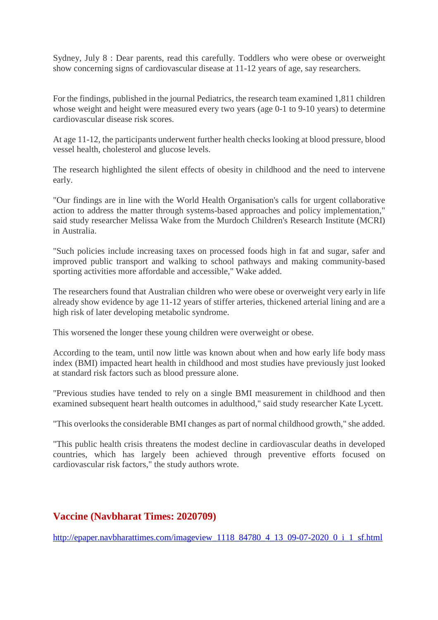Sydney, July 8 : Dear parents, read this carefully. Toddlers who were obese or overweight show concerning signs of cardiovascular disease at 11-12 years of age, say researchers.

For the findings, published in the journal Pediatrics, the research team examined 1,811 children whose weight and height were measured every two years (age 0-1 to 9-10 years) to determine cardiovascular disease risk scores.

At age 11-12, the participants underwent further health checks looking at blood pressure, blood vessel health, cholesterol and glucose levels.

The research highlighted the silent effects of obesity in childhood and the need to intervene early.

"Our findings are in line with the World Health Organisation's calls for urgent collaborative action to address the matter through systems-based approaches and policy implementation," said study researcher Melissa Wake from the Murdoch Children's Research Institute (MCRI) in Australia.

"Such policies include increasing taxes on processed foods high in fat and sugar, safer and improved public transport and walking to school pathways and making community-based sporting activities more affordable and accessible," Wake added.

The researchers found that Australian children who were obese or overweight very early in life already show evidence by age 11-12 years of stiffer arteries, thickened arterial lining and are a high risk of later developing metabolic syndrome.

This worsened the longer these young children were overweight or obese.

According to the team, until now little was known about when and how early life body mass index (BMI) impacted heart health in childhood and most studies have previously just looked at standard risk factors such as blood pressure alone.

"Previous studies have tended to rely on a single BMI measurement in childhood and then examined subsequent heart health outcomes in adulthood," said study researcher Kate Lycett.

"This overlooks the considerable BMI changes as part of normal childhood growth," she added.

"This public health crisis threatens the modest decline in cardiovascular deaths in developed countries, which has largely been achieved through preventive efforts focused on cardiovascular risk factors," the study authors wrote.

#### **Vaccine (Navbharat Times: 2020709)**

http://epaper.navbharattimes.com/imageview\_1118\_84780\_4\_13\_09-07-2020\_0\_i\_1\_sf.html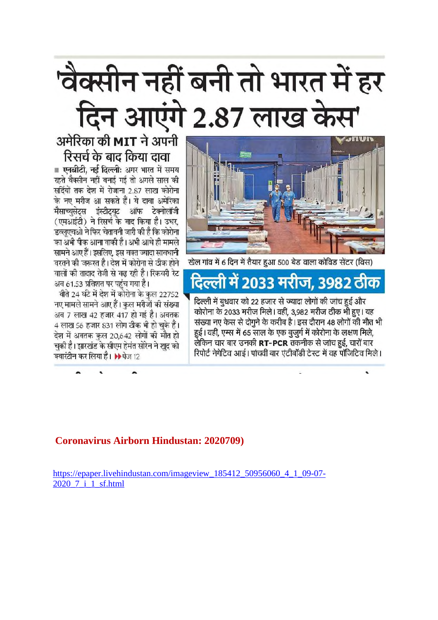# 'वैक्सीन नहीं बनी तो भारत में हर दिन आएंगे 2.87 लाख केस'



खेल गांव में 6 दिन में तैयार हुआ 500 बेड वाला कोविड सेंटर (विस)

# दिल्ली में 2033 मरीज, 3982 ठीक

दिल्ली में बधवार को 22 हजार से ज्यादा लोगों की जांच हुई और कोरोना के 2033 मरीज मिले। वहीं. 3.982 मरीज ठीक भी हए। यह संख्या नए केस से दोगने के करीब है। इस दौरान 48 लोगों की मौत भी हुई। वहीं, एम्स में 65 साल के एक बुजुर्ग में कोरोना के लक्षण मिले, लेकिन चार बार उनकी RT-PCR तकनीक से जांच हुई, चारों बार रिपोर्ट नेगेटिव आई। पांचवीं बार एंटीबॉडी टेस्ट में वह पॉजिटिव मिले।

### अमेरिका की MIT ने अपनी रिसर्च के बाद किया दावा

■ एनबीटी, नई दिल्लीः अगर भारत में समय रहते वैक्सीन नहीं बनाई गई तो अगले साल की सर्दियों तक देश में रोजाना 2.87 लाख कोरोना के नए मरीज आ सकते हैं। ये दावा अमेरिका मैसाच्युसेट्स इंस्टीट्यूट ऑफ टेक्नोलॉजी (एमआईटी) ने रिसर्च के वाद किया है। उधर, डब्लएचओ नेफिर चेतावनी जारी की है कि कोरोना का अभी पीक आना वाकी है। अभी आधे ही मामले सामने आए हैं। इसलिए, इस वक्त ज्यादा सावधानी वरतने की जरूरत है। देश में कोरोना से ठीक होने वालों की तादाद तेजी से वढ रही है। रिकवरी रेट अब 61.53 प्रतिशत पर पहुंच गया है।

वीते 24 घंटे में देश में कोरोना के कल 22752 नए मामले सामने आए हैं। कल मरीजों की संख्या अब 7 लाख 42 हजार 417 हो गई है। अबतक 4 लाख 56 हजार 831 लोग ठीक भी हो चके हैं। देश में अवतक कुल 20,642 लोगों की मौत हो चकी है। झारखंड के सीएम हेमंत सोरेन ने खुद को क्वारंटीन कर लिया है। ▶▶पेज 12

## **Coronavirus Airborn Hindustan: 2020709)**

https://epaper.livehindustan.com/imageview\_185412\_50956060\_4\_1\_09-07-  $2020\,7\,$ i 1 sf.html